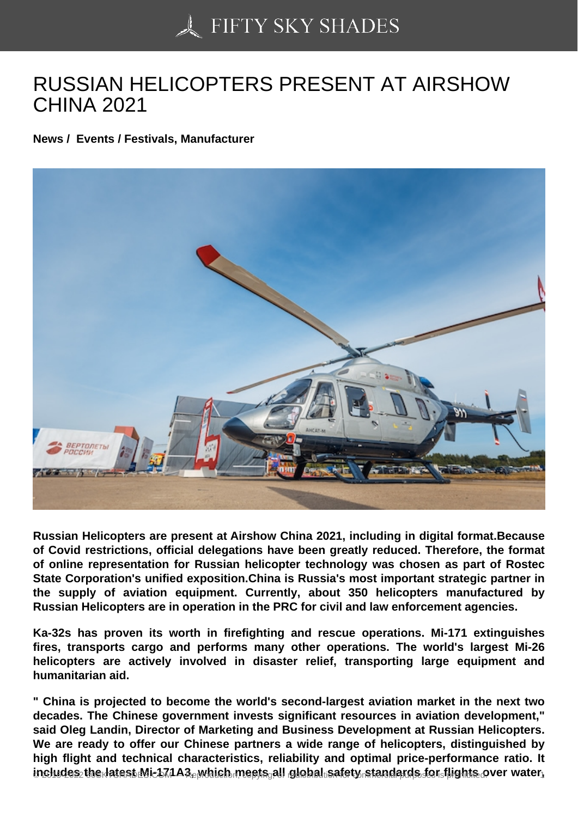## [RUSSIAN HELICOPTE](https://50skyshades.com)RS PRESENT AT AIRSHOW CHINA 2021

News / Events / Festivals, Manufacturer

Russian Helicopters are present at Airshow China 2021, including in digital format.Because of Covid restrictions, official delegations have been greatly reduced. Therefore, the format of online representation for Russian helicopter technology was chosen as part of Rostec State Corporation's unified exposition.China is Russia's most important strategic partner in the supply of aviation equipment. Currently, about 350 helicopters manufactured by Russian Helicopters are in operation in the PRC for civil and law enforcement agencies.

Ka-32s has proven its worth in firefighting and rescue operations. Mi-171 extinguishes fires, transports cargo and performs many other operations. The world's largest Mi-26 helicopters are actively involved in disaster relief, transporting large equipment and humanitarian aid.

" China is projected to become the world's second-largest aviation market in the next two decades. The Chinese government invests significant resources in aviation development," said Oleg Landin, Director of Marketing and Business Development at Russian Helicopters. We are ready to offer our Chinese partners a wide range of helicopters, distinguished by high flight and technical characteristics, reliability and optimal price-performance ratio. It includes the latest Mis171A3, which meets all global safety standards for flights over water,  $\frac{1}{100}$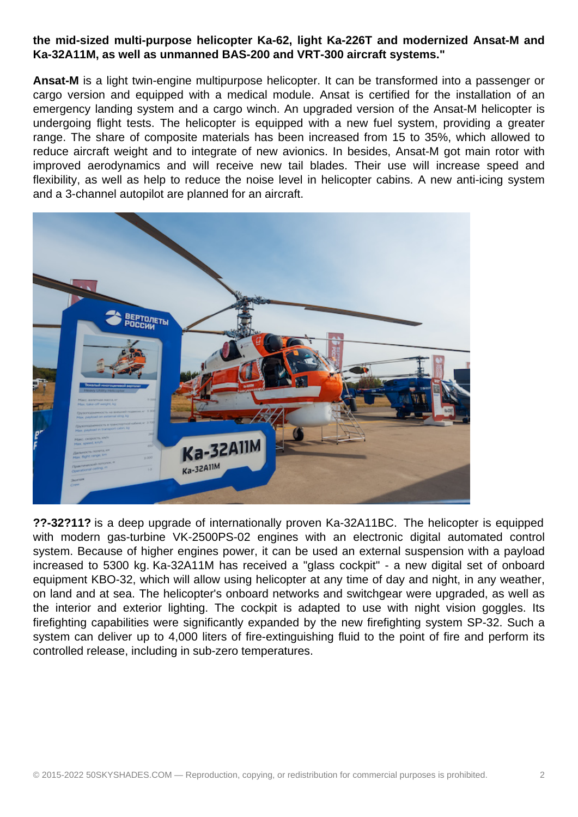## **the mid-sized multi-purpose helicopter Ka-62, light Ka-226T and modernized Ansat-M and Ka-32A11M, as well as unmanned BAS-200 and VRT-300 aircraft systems."**

**Ansat-M** is a light twin-engine multipurpose helicopter. It can be transformed into a passenger or cargo version and equipped with a medical module. Ansat is certified for the installation of an emergency landing system and a cargo winch. An upgraded version of the Ansat-M helicopter is undergoing flight tests. The helicopter is equipped with a new fuel system, providing a greater range. The share of composite materials has been increased from 15 to 35%, which allowed to reduce aircraft weight and to integrate of new avionics. In besides, Ansat-M got main rotor with improved aerodynamics and will receive new tail blades. Their use will increase speed and flexibility, as well as help to reduce the noise level in helicopter cabins. A new anti-icing system and a 3-channel autopilot are planned for an aircraft.



**??-32?11?** is a deep upgrade of internationally proven Ka-32A11BC. The helicopter is equipped with modern gas-turbine VK-2500PS-02 engines with an electronic digital automated control system. Because of higher engines power, it can be used an external suspension with a payload increased to 5300 kg. Ka-32A11M has received a "glass cockpit" - a new digital set of onboard equipment KBO-32, which will allow using helicopter at any time of day and night, in any weather, on land and at sea. The helicopter's onboard networks and switchgear were upgraded, as well as the interior and exterior lighting. The cockpit is adapted to use with night vision goggles. Its firefighting capabilities were significantly expanded by the new firefighting system SP-32. Such a system can deliver up to 4,000 liters of fire-extinguishing fluid to the point of fire and perform its controlled release, including in sub-zero temperatures.